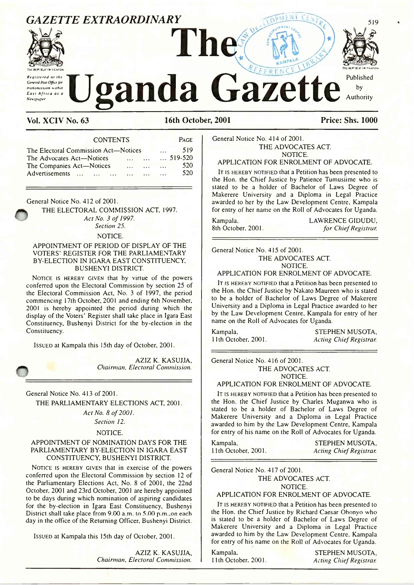## *GAZETTE EXTRAORDINARY*



*R e g iste r e d a t the General Rost Office for transmission within E a s t A f r ic a as a*



Vol. XCIV No. 63 16th October, 2001 Price: Shs. 1000

CONTENTS Page The Electoral Commission Act—Notices ... 519<br>The Advocates Act—Notices ... ... ... 519-520 The Advocates Act—Notices ..........................519-520 The Companies Act—Notices ....................... 520 Advertisements ... ... ... ... ... ...

General Notice No. 412 of 2001.

THE ELECTORAL COMMISSION ACT, 1997. Act No. 3 of 1997. *Section 25.*

#### NOTICE.

#### APPOINTMENT OF PERIOD OF DISPLAY OF THE VOTERS' REGISTER FOR THE PARLIAMENTARY BY-ELECTION IN IGARA EAST CONSTITUENCY, BUSHENYI DISTRICT.

NOTICE IS HEREBY GIVEN that by virtue of the powers conferred upon the Electoral Commission by section 25 of the Electoral Commission Act, No. 3 of 1997, the period commencing 17th October, 2001 and ending 6th November, 2001 is hereby appointed the period during which the display of the Voters' Register shall take place in Igara East Constituency, Bushenyi District for the by-election in the Constituency.

Issued at Kampala this 15th day of October, 2001.

AZIZ K. KASUJJA, *Chairman. Electoral Commission.*

General Notice No. 413 of 2001.

THE PARLIAMENTARY ELECTIONS ACT, 2001.

Act No. 8 of 2001.

*Section 12.*

NOTICE.

#### APPOINTMENT OF NOMINATION DAYS FOR THE PARLIAMENTARY BY-ELECTION IN IGARA EAST CONSTITUENCY, BUSHENYI DISTRICT.

NOTICE IS HEREBY GIVEN that in exercise of the powers conferred upon the Electoral Commission by section 12 of the Parliamentary Elections Act, No. 8 of 2001, the 22nd October, 2001 and 23rd October, 2001 are hereby appointed to be days during which nomination of aspiring candidates for the by-election in Igara East Constituency, Bushenyi District shall take place from 9.00 a.m. to 5.00 p.m.,on each day in the office of the Returning Officer, Bushenyi District.

Issued at Kampala this 15th day of October, 2001.

AZIZ K. KASUJJA, *Chairman, Electoral Commission.*

519

General Notice No. 414 of 2001. THE ADVOCATES ACT. NOTICE.

#### APPLICATION FOR ENROLMENT OF ADVOCATE.

IT IS HEREBY NOTIFIED that a Petition has been presented to the Hon. the Chief Justice by Patience Tumusiime who is stated to be a holder of Bachelor of Laws Degree of Makerere University and a Diploma in Legal Practice awarded to her by the Law Development Centre, Kampala for entry of her name on the Roll of Advocates for Uganda.

Kampala. LAWRENCE GIDUDU,<br>8th October, 2001. Tor Chief Registrar. for Chief Registrar.

General Notice No. 415 of 2001. THE ADVOCATES ACT. NOTICE.

APPLICATION FOR ENROLMENT OF ADVOCATE.

IT IS HEREBY NOTIFIED that a Petition has been presented to the Hon. the Chief Justice by Nakato Maureen who is stated to be a holder of Bachelor of Laws Degree of Makerere University and a Diploma in Legal Practice awarded to her by the Law Development Centre, Kampala for entry of her name on the Roll of Advocates for Uganda.

Kampala, STEPHEN MUSOTA, 11th October, 2001. 11th October, 2001. *Acting Chief Registrar.*

General Notice No. 416 of 2001. THE ADVOCATES ACT.

NOTICE.

#### APPLICATION FOR ENROLMENT OF ADVOCATE.

It is hereby notified that a Petition has been presented to the Hon. the Chief Justice by Charles Muganwa who is stated to be a holder of Bachelor of Laws Degree of Makerere University and a Diploma in Legal Practice awarded to him by the Law Development Centre, Kampala for entry of his name on the Roll of Advocates for Uganda.

Kampala, STEPHEN MUSOTA, 11th October, 2001. *Acting Chief Registrar.*

General Notice No. 417 of 2001. THE ADVOCATES ACT.

#### NOTICE.

#### APPLICATION FOR ENROLMENT OF ADVOCATE.

IT IS HEREBY NOTIFIED that a Petition has been presented to the Hon. the Chief Justice by Richard Caesar Obonyo who is stated to be a holder of Bachelor of Laws Degree of Makerere University and a Diploma in Legal Practice awarded to him by the Law Development Centre, Kampala for entry of his name on the Roll of Advocates for Uganda.

Kampala, STEPHEN MUSOTA, 11th October. 2001. *Acting Chief Registrar.*